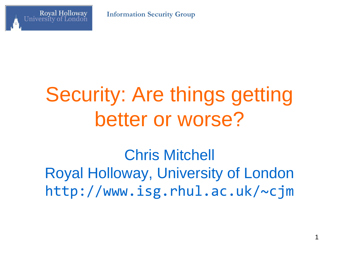**Information Security Group**



# Security: Are things getting better or worse?

Chris Mitchell Royal Holloway, University of London http://www.isg.rhul.ac.uk/~cjm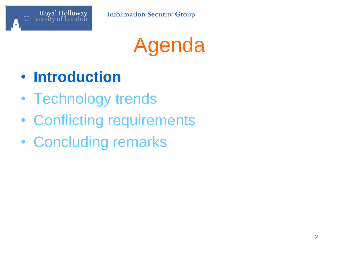

Agenda

- **Introduction**
- Technology trends
- Conflicting requirements
- Concluding remarks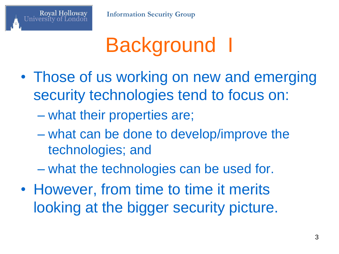

# Background I

- Those of us working on new and emerging security technologies tend to focus on:
	- what their properties are;

- what can be done to develop/improve the technologies; and
- what the technologies can be used for.
- However, from time to time it merits looking at the bigger security picture.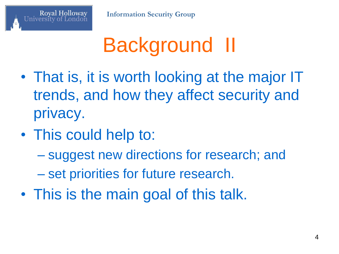

# Background II

- That is, it is worth looking at the major IT trends, and how they affect security and privacy.
- This could help to:

- suggest new directions for research; and
- set priorities for future research.
- This is the main goal of this talk.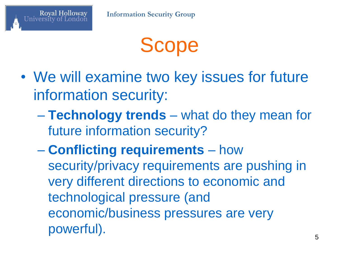

- We will examine two key issues for future information security:
	- **Technology trends** what do they mean for future information security?
	- **Conflicting requirements** how security/privacy requirements are pushing in very different directions to economic and technological pressure (and economic/business pressures are very powerful).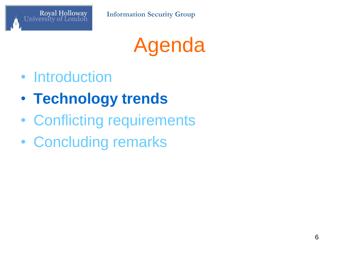

Agenda

- Introduction
- **Technology trends**
- Conflicting requirements
- Concluding remarks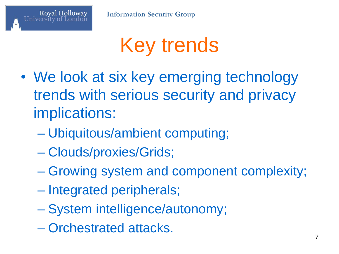

# Key trends

- We look at six key emerging technology trends with serious security and privacy implications:
	- Ubiquitous/ambient computing;
	- Clouds/proxies/Grids;
	- Growing system and component complexity;
	- Integrated peripherals;
	- System intelligence/autonomy;
	- Orchestrated attacks.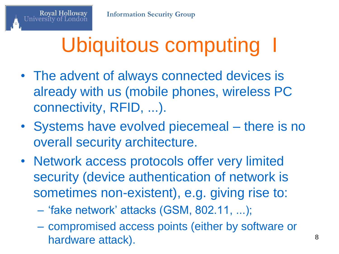# Ubiquitous computing

- The advent of always connected devices is already with us (mobile phones, wireless PC connectivity, RFID, ...).
- Systems have evolved piecemeal there is no overall security architecture.
- Network access protocols offer very limited security (device authentication of network is sometimes non-existent), e.g. giving rise to:
	- "fake network" attacks (GSM, 802.11, ...);
	- compromised access points (either by software or hardware attack).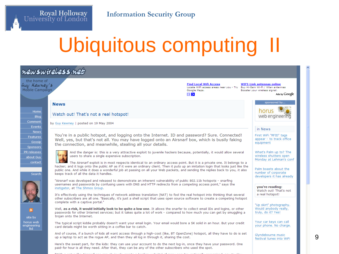#### **Information Security Group**

Royal Holloway<br>University of London

# Ubiquitous computing II



9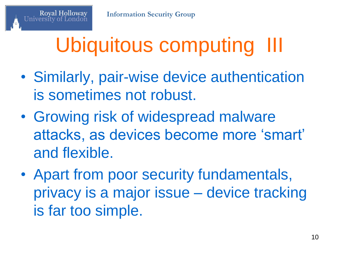# Ubiquitous computing III

- Similarly, pair-wise device authentication is sometimes not robust.
- Growing risk of widespread malware attacks, as devices become more "smart" and flexible.
- Apart from poor security fundamentals, privacy is a major issue – device tracking is far too simple.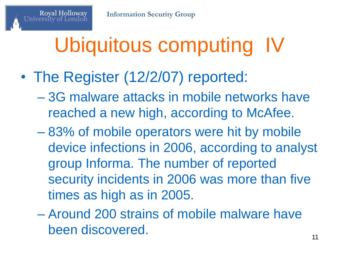# Ubiquitous computing IV

• The Register (12/2/07) reported:

- 3G malware attacks in mobile networks have reached a new high, according to McAfee.
- 83% of mobile operators were hit by mobile device infections in 2006, according to analyst group Informa. The number of reported security incidents in 2006 was more than five times as high as in 2005.
- Around 200 strains of mobile malware have been discovered.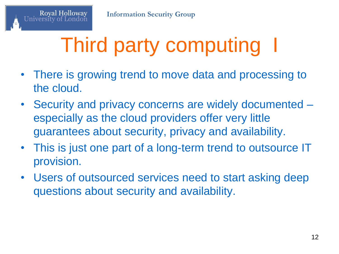# Third party computing I

- There is growing trend to move data and processing to the cloud.
- Security and privacy concerns are widely documented especially as the cloud providers offer very little guarantees about security, privacy and availability.
- This is just one part of a long-term trend to outsource IT provision.
- Users of outsourced services need to start asking deep questions about security and availability.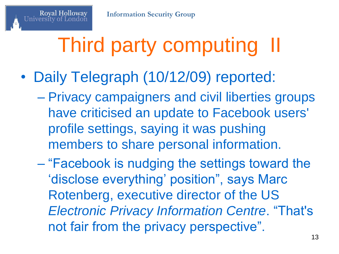# Third party computing

- Daily Telegraph (10/12/09) reported:
	- Privacy campaigners and civil liberties groups have criticised an update to Facebook users' profile settings, saying it was pushing members to share personal information.
	- "Facebook is nudging the settings toward the 'disclose everything' position", says Marc Rotenberg, executive director of the US *Electronic Privacy Information Centre*. "That's not fair from the privacy perspective".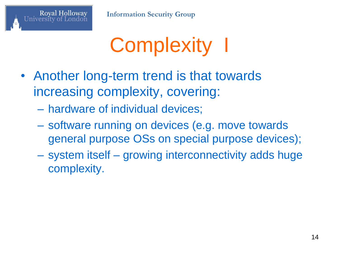

# Complexity I

- Another long-term trend is that towards increasing complexity, covering:
	- hardware of individual devices;

- software running on devices (e.g. move towards general purpose OSs on special purpose devices);
- system itself growing interconnectivity adds huge complexity.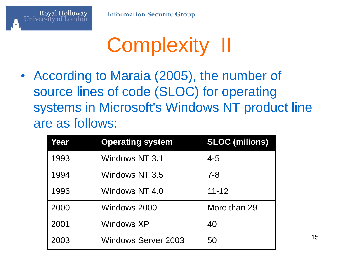

# Complexity II

• According to Maraia (2005), the number of source lines of code (SLOC) for operating systems in Microsoft's Windows NT product line are as follows:

| Year | <b>Operating system</b>    | <b>SLOC (milions)</b> |
|------|----------------------------|-----------------------|
| 1993 | Windows NT 3.1             | 4-5                   |
| 1994 | Windows NT 3.5             | 7-8                   |
| 1996 | Windows NT 4.0             | $11 - 12$             |
| 2000 | Windows 2000               | More than 29          |
| 2001 | Windows XP                 | 40                    |
| 2003 | <b>Windows Server 2003</b> | 50                    |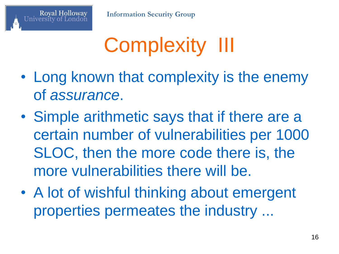

# Complexity III

- Long known that complexity is the enemy of *assurance*.
- Simple arithmetic says that if there are a certain number of vulnerabilities per 1000 SLOC, then the more code there is, the more vulnerabilities there will be.
- A lot of wishful thinking about emergent properties permeates the industry ...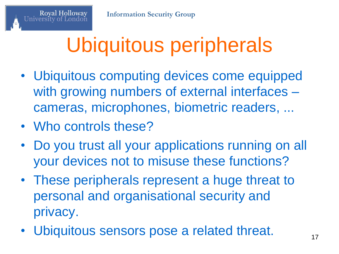# Ubiquitous peripherals

- Ubiquitous computing devices come equipped with growing numbers of external interfaces – cameras, microphones, biometric readers, ...
- Who controls these?

- Do you trust all your applications running on all your devices not to misuse these functions?
- These peripherals represent a huge threat to personal and organisational security and privacy.
- Ubiquitous sensors pose a related threat.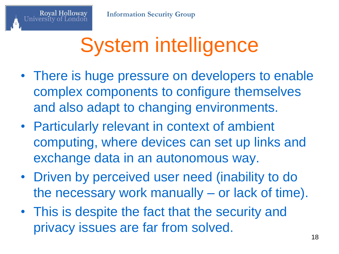# System intelligence

- There is huge pressure on developers to enable complex components to configure themselves and also adapt to changing environments.
- Particularly relevant in context of ambient computing, where devices can set up links and exchange data in an autonomous way.
- Driven by perceived user need (inability to do the necessary work manually – or lack of time).
- This is despite the fact that the security and privacy issues are far from solved.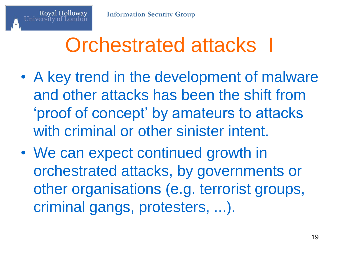## Orchestrated attacks I

- A key trend in the development of malware and other attacks has been the shift from "proof of concept" by amateurs to attacks with criminal or other sinister intent.
- We can expect continued growth in orchestrated attacks, by governments or other organisations (e.g. terrorist groups, criminal gangs, protesters, ...).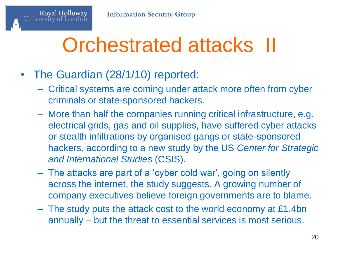## Orchestrated attacks II

• The Guardian (28/1/10) reported:

- Critical systems are coming under attack more often from cyber criminals or state-sponsored hackers.
- More than half the companies running critical infrastructure, e.g. electrical grids, gas and oil supplies, have suffered cyber attacks or stealth infiltrations by organised gangs or state-sponsored hackers, according to a new study by the US *Center for Strategic and International Studies* (CSIS).
- The attacks are part of a "cyber cold war", going on silently across the internet, the study suggests. A growing number of company executives believe foreign governments are to blame.
- The study puts the attack cost to the world economy at £1.4bn annually – but the threat to essential services is most serious.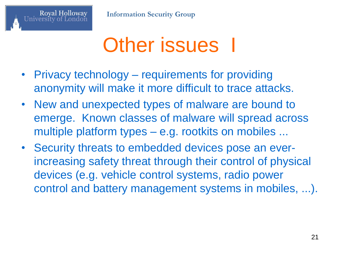

#### **Other issues** I

- Privacy technology requirements for providing anonymity will make it more difficult to trace attacks.
- New and unexpected types of malware are bound to emerge. Known classes of malware will spread across multiple platform types – e.g. rootkits on mobiles ...
- Security threats to embedded devices pose an everincreasing safety threat through their control of physical devices (e.g. vehicle control systems, radio power control and battery management systems in mobiles, ...).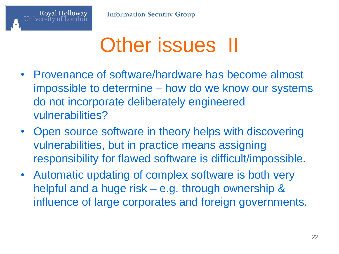

#### Other issues II

- Provenance of software/hardware has become almost impossible to determine – how do we know our systems do not incorporate deliberately engineered vulnerabilities?
- Open source software in theory helps with discovering vulnerabilities, but in practice means assigning responsibility for flawed software is difficult/impossible.
- Automatic updating of complex software is both very helpful and a huge risk – e.g. through ownership & influence of large corporates and foreign governments.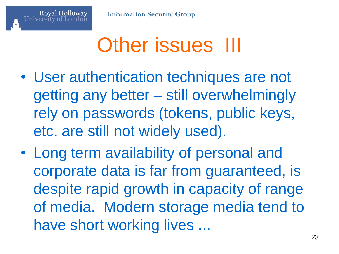## Other issues III

- User authentication techniques are not getting any better – still overwhelmingly rely on passwords (tokens, public keys, etc. are still not widely used).
- Long term availability of personal and corporate data is far from guaranteed, is despite rapid growth in capacity of range of media. Modern storage media tend to have short working lives ...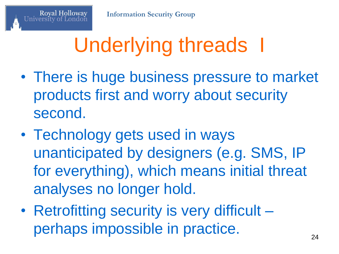# Underlying threads I

- There is huge business pressure to market products first and worry about security second.
- Technology gets used in ways unanticipated by designers (e.g. SMS, IP for everything), which means initial threat analyses no longer hold.
- Retrofitting security is very difficult perhaps impossible in practice.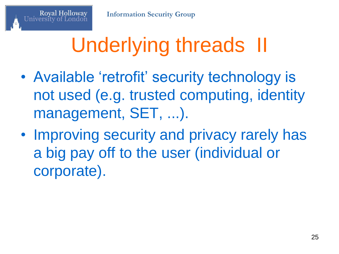# Underlying threads II

- Available 'retrofit' security technology is not used (e.g. trusted computing, identity management, SET, ...).
- Improving security and privacy rarely has a big pay off to the user (individual or corporate).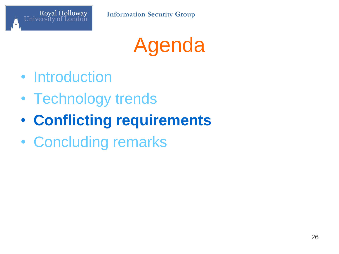

Agenda

- Introduction
- Technology trends
- **Conflicting requirements**
- Concluding remarks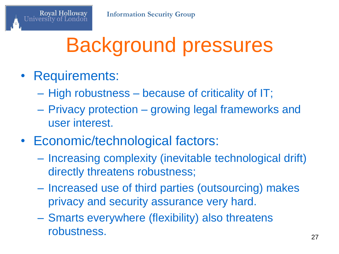## Background pressures

• Requirements:

- High robustness because of criticality of IT;
- Privacy protection growing legal frameworks and user interest.
- Economic/technological factors:
	- Increasing complexity (inevitable technological drift) directly threatens robustness;
	- Increased use of third parties (outsourcing) makes privacy and security assurance very hard.
	- Smarts everywhere (flexibility) also threatens robustness. 27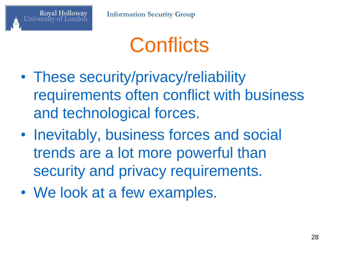

# **Conflicts**

- These security/privacy/reliability requirements often conflict with business and technological forces.
- Inevitably, business forces and social trends are a lot more powerful than security and privacy requirements.
- We look at a few examples.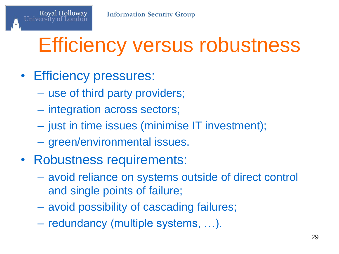# Efficiency versus robustness

#### • Efficiency pressures:

- use of third party providers;
- integration across sectors;
- just in time issues (minimise IT investment);
- green/environmental issues.
- Robustness requirements:
	- avoid reliance on systems outside of direct control and single points of failure;
	- avoid possibility of cascading failures;
	- redundancy (multiple systems, …).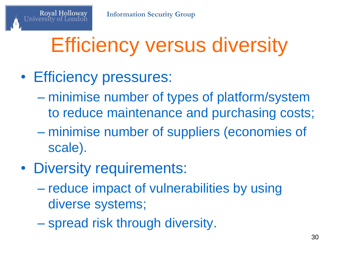# Efficiency versus diversity

#### • Efficiency pressures:

- minimise number of types of platform/system to reduce maintenance and purchasing costs;
- minimise number of suppliers (economies of scale).
- Diversity requirements:
	- reduce impact of vulnerabilities by using diverse systems;
	- spread risk through diversity.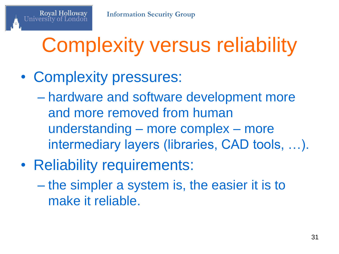# Complexity versus reliability

• Complexity pressures:

- hardware and software development more and more removed from human understanding – more complex – more intermediary layers (libraries, CAD tools, …).
- Reliability requirements:
	- the simpler a system is, the easier it is to make it reliable.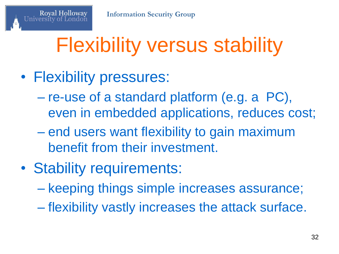# Flexibility versus stability

• Flexibility pressures:

- re-use of a standard platform (e.g. a PC), even in embedded applications, reduces cost;
- end users want flexibility to gain maximum benefit from their investment.
- Stability requirements:
	- keeping things simple increases assurance;
	- flexibility vastly increases the attack surface.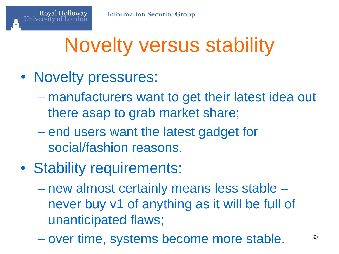# Novelty versus stability

• Novelty pressures:

- manufacturers want to get their latest idea out there asap to grab market share;
- end users want the latest gadget for social/fashion reasons.
- Stability requirements:
	- new almost certainly means less stable never buy v1 of anything as it will be full of unanticipated flaws;
	- over time, systems become more stable. <sup>33</sup>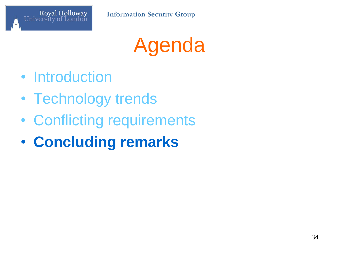

Agenda

- Introduction
- Technology trends
- Conflicting requirements
- **Concluding remarks**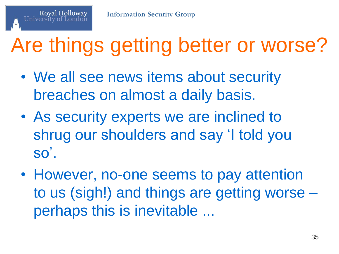# Are things getting better or worse?

- We all see news items about security breaches on almost a daily basis.
- As security experts we are inclined to shrug our shoulders and say 'I told you  $SO<sup>'</sup>$ .
- However, no-one seems to pay attention to us (sigh!) and things are getting worse – perhaps this is inevitable ...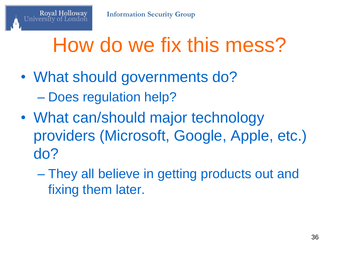# How do we fix this mess?

• What should governments do? – Does regulation help?

- What can/should major technology providers (Microsoft, Google, Apple, etc.) do?
	- They all believe in getting products out and fixing them later.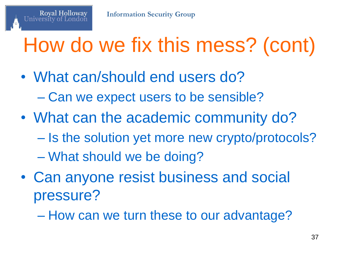# How do we fix this mess? (cont)

- What can/should end users do? – Can we expect users to be sensible?
- What can the academic community do?
	- Is the solution yet more new crypto/protocols?
	- What should we be doing?

- Can anyone resist business and social pressure?
	- How can we turn these to our advantage?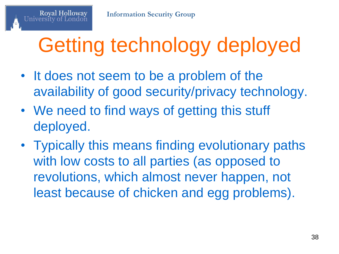# Getting technology deployed

- It does not seem to be a problem of the availability of good security/privacy technology.
- We need to find ways of getting this stuff deployed.
- Typically this means finding evolutionary paths with low costs to all parties (as opposed to revolutions, which almost never happen, not least because of chicken and egg problems).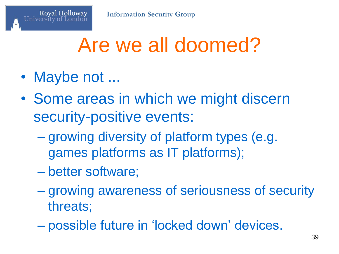## Are we all doomed?

• Maybe not ...

- Some areas in which we might discern security-positive events:
	- growing diversity of platform types (e.g. games platforms as IT platforms);
	- better software;
	- growing awareness of seriousness of security threats;
	- possible future in "locked down" devices.